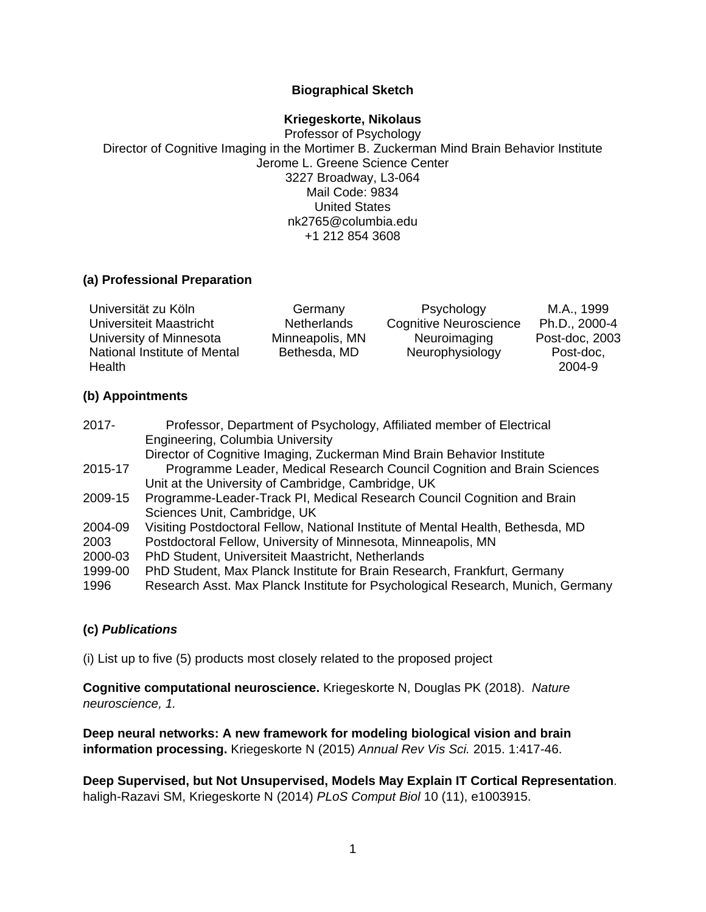## **Biographical Sketch**

#### **Kriegeskorte, Nikolaus**

Professor of Psychology Director of Cognitive Imaging in the Mortimer B. Zuckerman Mind Brain Behavior Institute Jerome L. Greene Science Center 3227 Broadway, L3-064 Mail Code: 9834 United States nk2765@columbia.edu +1 212 854 3608

## **(a) Professional Preparation**

| Universität zu Köln          | Germany            | Psychology                    | M.A., 1999     |
|------------------------------|--------------------|-------------------------------|----------------|
| Universiteit Maastricht      | <b>Netherlands</b> | <b>Cognitive Neuroscience</b> | Ph.D., 2000-4  |
| University of Minnesota      | Minneapolis, MN    | Neuroimaging                  | Post-doc, 2003 |
| National Institute of Mental | Bethesda, MD       | Neurophysiology               | Post-doc,      |
| Health                       |                    |                               | 2004-9         |

## **(b) Appointments**

| $2017 -$ | Professor, Department of Psychology, Affiliated member of Electrical            |
|----------|---------------------------------------------------------------------------------|
|          | Engineering, Columbia University                                                |
|          | Director of Cognitive Imaging, Zuckerman Mind Brain Behavior Institute          |
| 2015-17  | Programme Leader, Medical Research Council Cognition and Brain Sciences         |
|          | Unit at the University of Cambridge, Cambridge, UK                              |
| 2009-15  | Programme-Leader-Track PI, Medical Research Council Cognition and Brain         |
|          | Sciences Unit, Cambridge, UK                                                    |
| 2004-09  | Visiting Postdoctoral Fellow, National Institute of Mental Health, Bethesda, MD |
| 2003     | Postdoctoral Fellow, University of Minnesota, Minneapolis, MN                   |
| 2000-03  | PhD Student, Universiteit Maastricht, Netherlands                               |
| 1999-00  | PhD Student, Max Planck Institute for Brain Research, Frankfurt, Germany        |
| 1996     | Research Asst. Max Planck Institute for Psychological Research, Munich, Germany |
|          |                                                                                 |

## **(c)** *Publications*

(i) List up to five (5) products most closely related to the proposed project

**Cognitive computational neuroscience.** Kriegeskorte N, Douglas PK (2018). *Nature neuroscience, 1.*

**Deep neural networks: A new framework for modeling biological vision and brain information processing.** Kriegeskorte N (2015) *Annual Rev Vis Sci.* 2015. 1:417-46.

**Deep Supervised, but Not Unsupervised, Models May Explain IT Cortical Representation**. haligh-Razavi SM, Kriegeskorte N (2014) *PLoS Comput Biol* 10 (11), e1003915.